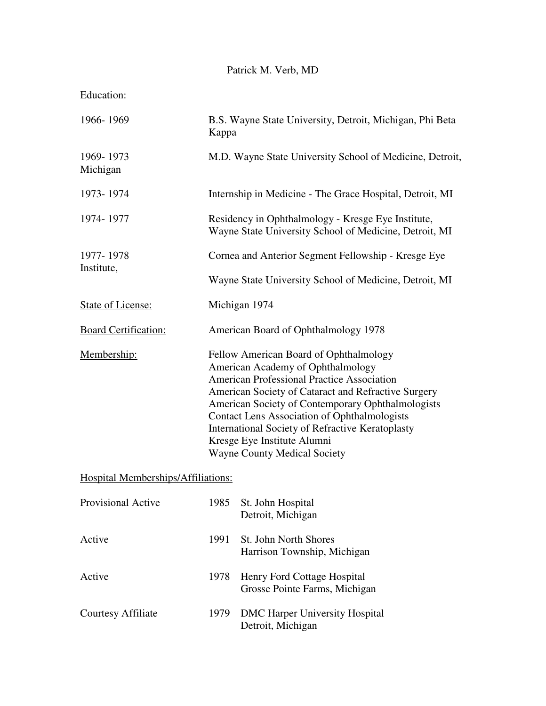## Patrick M. Verb, MD

| B.S. Wayne State University, Detroit, Michigan, Phi Beta<br>Kappa                                                                                                                                                                                                                                                                                                                                                                    |                                                              |  |
|--------------------------------------------------------------------------------------------------------------------------------------------------------------------------------------------------------------------------------------------------------------------------------------------------------------------------------------------------------------------------------------------------------------------------------------|--------------------------------------------------------------|--|
| M.D. Wayne State University School of Medicine, Detroit,                                                                                                                                                                                                                                                                                                                                                                             |                                                              |  |
| Internship in Medicine - The Grace Hospital, Detroit, MI                                                                                                                                                                                                                                                                                                                                                                             |                                                              |  |
| Residency in Ophthalmology - Kresge Eye Institute,<br>Wayne State University School of Medicine, Detroit, MI                                                                                                                                                                                                                                                                                                                         |                                                              |  |
| Cornea and Anterior Segment Fellowship - Kresge Eye                                                                                                                                                                                                                                                                                                                                                                                  |                                                              |  |
| Wayne State University School of Medicine, Detroit, MI                                                                                                                                                                                                                                                                                                                                                                               |                                                              |  |
| Michigan 1974                                                                                                                                                                                                                                                                                                                                                                                                                        |                                                              |  |
| American Board of Ophthalmology 1978                                                                                                                                                                                                                                                                                                                                                                                                 |                                                              |  |
| Fellow American Board of Ophthalmology<br>American Academy of Ophthalmology<br><b>American Professional Practice Association</b><br>American Society of Cataract and Refractive Surgery<br>American Society of Contemporary Ophthalmologists<br><b>Contact Lens Association of Ophthalmologists</b><br><b>International Society of Refractive Keratoplasty</b><br>Kresge Eye Institute Alumni<br><b>Wayne County Medical Society</b> |                                                              |  |
|                                                                                                                                                                                                                                                                                                                                                                                                                                      |                                                              |  |
| 1985                                                                                                                                                                                                                                                                                                                                                                                                                                 | St. John Hospital<br>Detroit, Michigan                       |  |
| 1991                                                                                                                                                                                                                                                                                                                                                                                                                                 | St. John North Shores<br>Harrison Township, Michigan         |  |
| 1978                                                                                                                                                                                                                                                                                                                                                                                                                                 | Henry Ford Cottage Hospital<br>Grosse Pointe Farms, Michigan |  |
| 1979                                                                                                                                                                                                                                                                                                                                                                                                                                 | <b>DMC Harper University Hospital</b><br>Detroit, Michigan   |  |
|                                                                                                                                                                                                                                                                                                                                                                                                                                      | Hospital Memberships/Affiliations:                           |  |